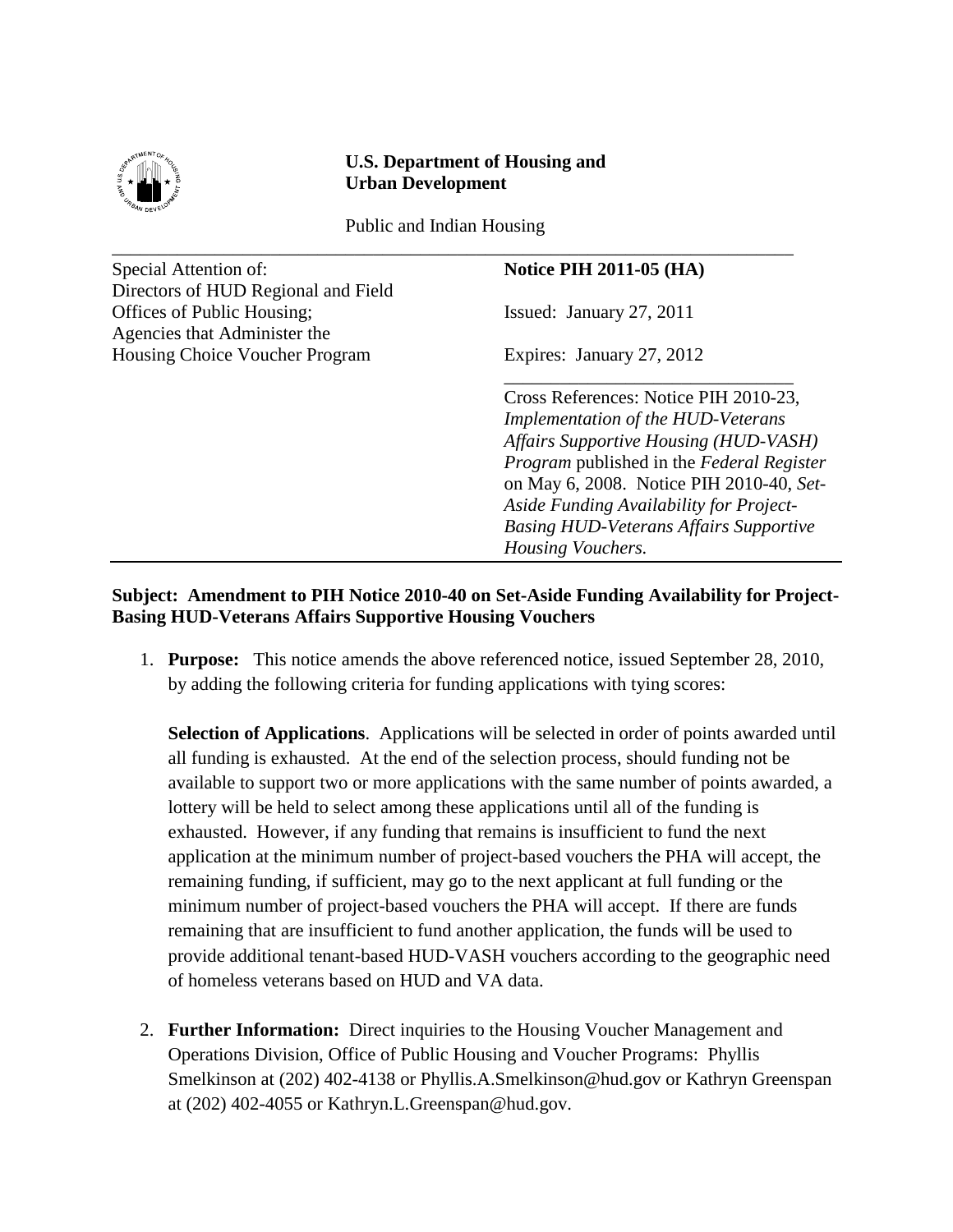

## **U.S. Department of Housing and Urban Development**

Public and Indian Housing \_\_\_\_\_\_\_\_\_\_\_\_\_\_\_\_\_\_\_\_\_\_\_\_\_\_\_\_\_\_\_\_\_\_\_\_\_\_\_\_\_\_\_\_\_\_\_\_\_\_\_\_\_\_\_\_\_\_\_\_\_\_\_\_\_\_\_\_\_\_\_\_\_

Special Attention of: **Notice PIH 2011-05 (HA)** Directors of HUD Regional and Field Offices of Public Housing; Issued: January 27, 2011 Agencies that Administer the Housing Choice Voucher Program Expires: January 27, 2012

Cross References: Notice PIH 2010-23, *Implementation of the HUD-Veterans Affairs Supportive Housing (HUD-VASH) Program* published in the *Federal Register* on May 6, 2008. Notice PIH 2010-40, *Set-Aside Funding Availability for Project-Basing HUD-Veterans Affairs Supportive Housing Vouchers.*

\_\_\_\_\_\_\_\_\_\_\_\_\_\_\_\_\_\_\_\_\_\_\_\_\_\_\_\_\_\_\_

## **Subject: Amendment to PIH Notice 2010-40 on Set-Aside Funding Availability for Project-Basing HUD-Veterans Affairs Supportive Housing Vouchers**

1. **Purpose:** This notice amends the above referenced notice, issued September 28, 2010, by adding the following criteria for funding applications with tying scores:

**Selection of Applications**. Applications will be selected in order of points awarded until all funding is exhausted. At the end of the selection process, should funding not be available to support two or more applications with the same number of points awarded, a lottery will be held to select among these applications until all of the funding is exhausted. However, if any funding that remains is insufficient to fund the next application at the minimum number of project-based vouchers the PHA will accept, the remaining funding, if sufficient, may go to the next applicant at full funding or the minimum number of project-based vouchers the PHA will accept. If there are funds remaining that are insufficient to fund another application, the funds will be used to provide additional tenant-based HUD-VASH vouchers according to the geographic need of homeless veterans based on HUD and VA data.

2. **Further Information:** Direct inquiries to the Housing Voucher Management and Operations Division, Office of Public Housing and Voucher Programs: Phyllis Smelkinson at (202) 402-4138 or Phyllis.A.Smelkinson@hud.gov or Kathryn Greenspan at (202) 402-4055 or Kathryn.L.Greenspan@hud.gov.